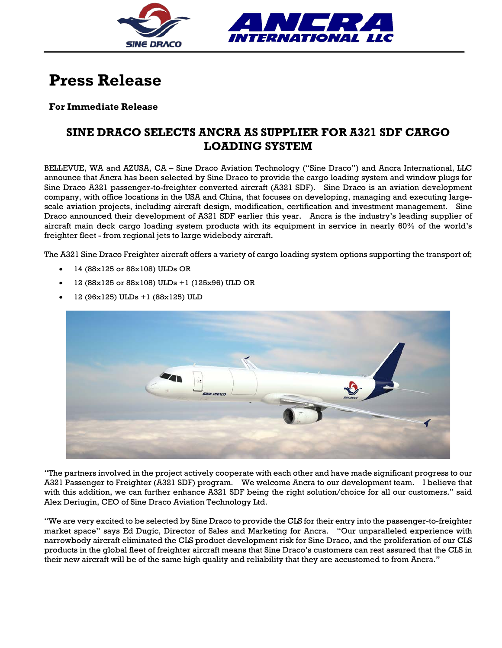

## **Press Release**

## **For Immediate Release**

## **SINE DRACO SELECTS ANCRA AS SUPPLIER FOR A321 SDF CARGO LOADING SYSTEM**

BELLEVUE, WA and AZUSA, CA – Sine Draco Aviation Technology ("Sine Draco") and Ancra International, LLC announce that Ancra has been selected by Sine Draco to provide the cargo loading system and window plugs for Sine Draco A321 passenger-to-freighter converted aircraft (A321 SDF). Sine Draco is an aviation development company, with office locations in the USA and China, that focuses on developing, managing and executing largescale aviation projects, including aircraft design, modification, certification and investment management. Sine Draco announced their development of A321 SDF earlier this year. Ancra is the industry's leading supplier of aircraft main deck cargo loading system products with its equipment in service in nearly 60% of the world's freighter fleet - from regional jets to large widebody aircraft.

The A321 Sine Draco Freighter aircraft offers a variety of cargo loading system options supporting the transport of;

- 14 (88x125 or 88x108) ULDs OR
- 12 (88x125 or 88x108) ULDs +1 (125x96) ULD OR
- 12 (96x125) ULDs +1 (88x125) ULD



"The partners involved in the project actively cooperate with each other and have made significant progress to our A321 Passenger to Freighter (A321 SDF) program. We welcome Ancra to our development team. I believe that with this addition, we can further enhance A321 SDF being the right solution/choice for all our customers." said Alex Deriugin, CEO of Sine Draco Aviation Technology Ltd.

"We are very excited to be selected by Sine Draco to provide the CLS for their entry into the passenger-to-freighter market space" says Ed Dugic, Director of Sales and Marketing for Ancra. "Our unparalleled experience with narrowbody aircraft eliminated the CLS product development risk for Sine Draco, and the proliferation of our CLS products in the global fleet of freighter aircraft means that Sine Draco's customers can rest assured that the CLS in their new aircraft will be of the same high quality and reliability that they are accustomed to from Ancra."